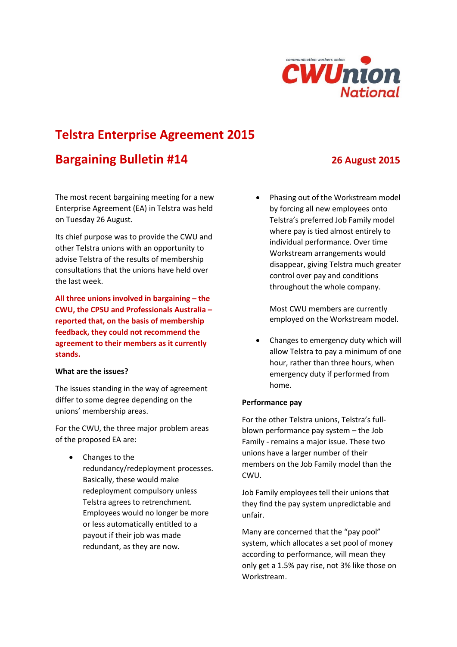

# **Telstra Enterprise Agreement 2015**

## **Bargaining Bulletin #14 26 August 2015**

The most recent bargaining meeting for a new Enterprise Agreement (EA) in Telstra was held on Tuesday 26 August.

Its chief purpose was to provide the CWU and other Telstra unions with an opportunity to advise Telstra of the results of membership consultations that the unions have held over the last week.

**All three unions involved in bargaining – the CWU, the CPSU and Professionals Australia – reported that, on the basis of membership feedback, they could not recommend the agreement to their members as it currently stands.**

### **What are the issues?**

The issues standing in the way of agreement differ to some degree depending on the unions' membership areas.

For the CWU, the three major problem areas of the proposed EA are:

 Changes to the redundancy/redeployment processes. Basically, these would make redeployment compulsory unless Telstra agrees to retrenchment. Employees would no longer be more or less automatically entitled to a payout if their job was made redundant, as they are now.

 Phasing out of the Workstream model by forcing all new employees onto Telstra's preferred Job Family model where pay is tied almost entirely to individual performance. Over time Workstream arrangements would disappear, giving Telstra much greater control over pay and conditions throughout the whole company.

Most CWU members are currently employed on the Workstream model.

 Changes to emergency duty which will allow Telstra to pay a minimum of one hour, rather than three hours, when emergency duty if performed from home.

## **Performance pay**

For the other Telstra unions, Telstra's fullblown performance pay system – the Job Family - remains a major issue. These two unions have a larger number of their members on the Job Family model than the CWU.

Job Family employees tell their unions that they find the pay system unpredictable and unfair.

Many are concerned that the "pay pool" system, which allocates a set pool of money according to performance, will mean they only get a 1.5% pay rise, not 3% like those on Workstream.